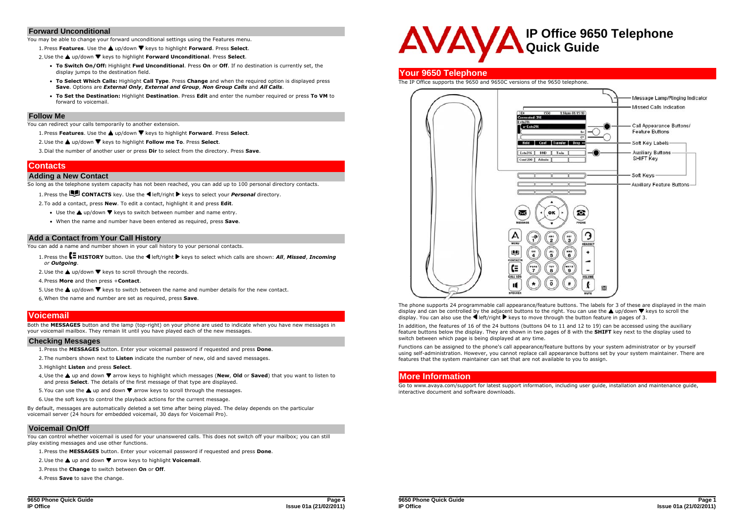#### **Forward Unconditional**

You may be able to change your forward unconditional settings using the Features menu.

1. Press **Features**. Use the **a** up/down  $\Psi$  keys to highlight **Forward**. Press **Select**.

2. Use the ▲ up/down ▼ keys to highlight **Forward Unconditional**. Press Select.

- **To Switch On/Off:** Highlight **Fwd Unconditional**. Press **On** or **Off**. If no destination is currently set, the display jumps to the destination field.
- **To Select Which Calls:** Highlight **Call Type**. Press **Change** and when the required option is displayed press **Save**. Options are *External Only*, *External and Group*, *Non Group Calls* and *All Calls*.
- **To Set the Destination:** Highlight **Destination**. Press **Edit** and enter the number required or press **To VM** to forward to voicemail.

#### **Follow Me**

You can redirect your calls temporarily to another extension.

- 1. Press **Features**. Use the ▲ up/down ▼ keys to highlight **Forward**. Press Select.
- 2. Use the **▲** up/down ▼ keys to highlight **Follow me To**. Press Select.

3.Dial the number of another user or press **Dir** to select from the directory. Press **Save**.

## **Contacts**

#### **Adding a New Contact**

So long as the telephone system capacity has not been reached, you can add up to 100 personal directory contacts.

1. Press the **CONTACTS** key. Use the **E** left/right keys to select your *Personal* directory.

2.To add a contact, press **New**. To edit a contact, highlight it and press **Edit**.

- Use the  $\triangle$  up/down  $\nabla$  keys to switch between number and name entry.
- When the name and number have been entered as required, press **Save**.

#### **Add a Contact from Your Call History**

You can add a name and number shown in your call history to your personal contacts.

- 1. Press the **E** HISTORY button. Use the **I** left/right **F** keys to select which calls are shown: *All, Missed, Incoming or Outgoing*.
- 2. Use the  $\triangle$  up/down  $\nabla$  keys to scroll through the records.
- 4.Press **More** and then press +**Contact**.
- 5. Use the  $\triangle$  up/down  $\nabla$  keys to switch between the name and number details for the new contact.
- 6.When the name and number are set as required, press **Save**.

## **Voicemail**

Both the **MESSAGES** button and the lamp (top-right) on your phone are used to indicate when you have new messages in your voicemail mailbox. They remain lit until you have played each of the new messages.

#### **Checking Messages**

1.Press the **MESSAGES** button. Enter your voicemail password if requested and press **Done**.

- 2.The numbers shown next to **Listen** indicate the number of new, old and saved messages.
- 3.Highlight **Listen** and press **Select**.
- 4. Use the **A** up and down  $\blacktriangledown$  arrow keys to highlight which messages (New, Old or Saved) that you want to listen to and press **Select**. The details of the first message of that type are displayed.
- 5. You can use the  $\triangle$  up and down  $\nabla$  arrow keys to scroll through the messages.
- 6.Use the soft keys to control the playback actions for the current message.

By default, messages are automatically deleted a set time after being played. The delay depends on the particular voicemail server (24 hours for embedded voicemail, 30 days for Voicemail Pro).

## **Voicemail On/Off**

You can control whether voicemail is used for your unanswered calls. This does not switch off your mailbox; you can still play existing messages and use other functions.

1.Press the **MESSAGES** button. Enter your voicemail password if requested and press **Done**.

2. Use the **△** up and down ▼ arrow keys to highlight **Voicemail**.

3.Press the **Change** to switch between **On** or **Off**.

4.Press **Save** to save the change.

## **Your 9650 Telephone**

The IP Office supports the 9650 and 9650C versions of the 9650 telephone.



The phone supports 24 programmable call appearance/feature buttons. The labels for 3 of these are displayed in the main display and can be controlled by the adjacent buttons to the right. You can use the  $\triangle$  up/down  $\nabla$  keys to scroll the display. You can also use the  $\blacktriangleleft$  left/right  $\blacktriangleright$  keys to move through the button feature in pages of 3.

In addition, the features of 16 of the 24 buttons (buttons 04 to 11 and 12 to 19) can be accessed using the auxiliary feature buttons below the display. They are shown in two pages of 8 with the **SHIFT** key next to the display used to switch between which page is being displayed at any time.

Functions can be assigned to the phone's call appearance/feature buttons by your system administrator or by yourself using self-administration. However, you cannot replace call appearance buttons set by your system maintainer. There are features that the system maintainer can set that are not available to you to assign.

## **More Information**

Go to www.avaya.com/support for latest support information, including user guide, installation and maintenance guide, interactive document and software downloads.